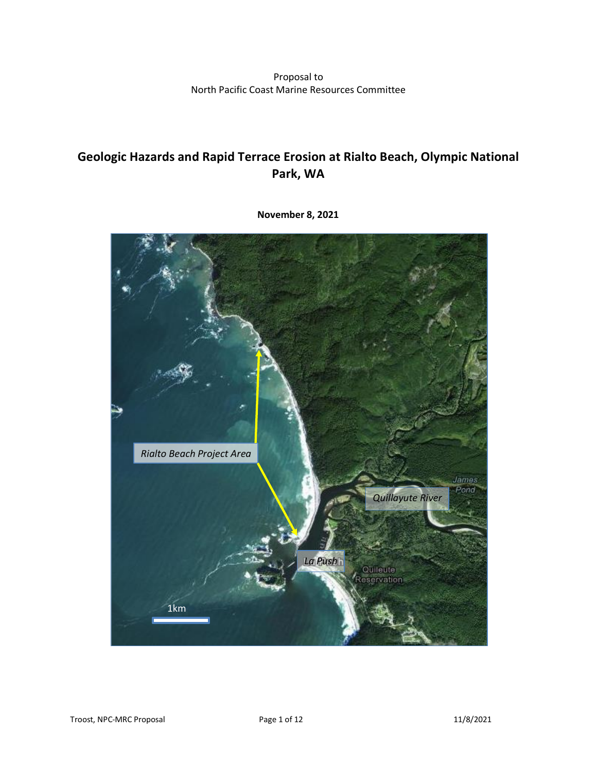Proposal to North Pacific Coast Marine Resources Committee

# **Geologic Hazards and Rapid Terrace Erosion at Rialto Beach, Olympic National Park, WA**



**November 8, 2021**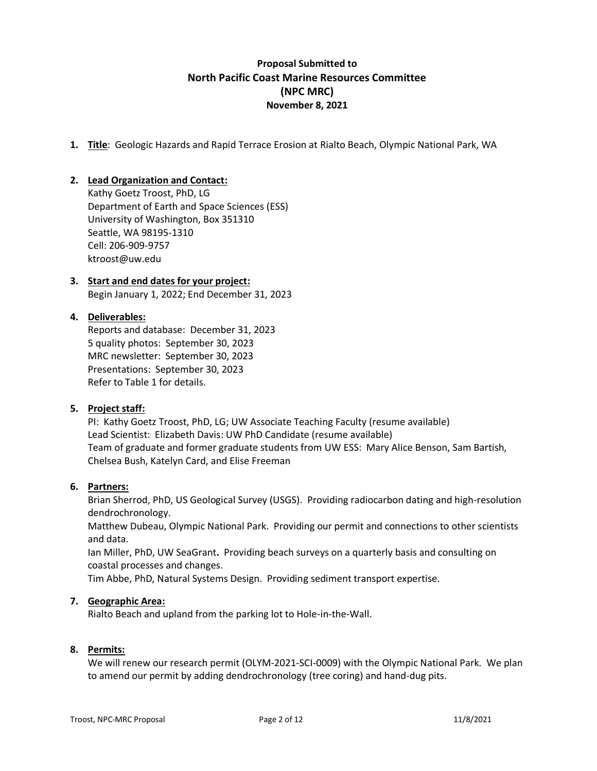### **Proposal Submitted to North Pacific Coast Marine Resources Committee (NPC MRC) November 8, 2021**

**1. Title**: Geologic Hazards and Rapid Terrace Erosion at Rialto Beach, Olympic National Park, WA

#### **2. Lead Organization and Contact:**

Kathy Goetz Troost, PhD, LG Department of Earth and Space Sciences (ESS) University of Washington, Box 351310 Seattle, WA 98195-1310 Cell: 206-909-9757 ktroost@uw.edu

# **3. Start and end dates for your project:**

Begin January 1, 2022; End December 31, 2023

### **4. Deliverables:**

Reports and database: December 31, 2023 5 quality photos: September 30, 2023 MRC newsletter: September 30, 2023 Presentations: September 30, 2023 Refer to Table 1 for details.

#### **5. Project staff:**

PI: Kathy Goetz Troost, PhD, LG; UW Associate Teaching Faculty (resume available) Lead Scientist: Elizabeth Davis: UW PhD Candidate (resume available) Team of graduate and former graduate students from UW ESS: Mary Alice Benson, Sam Bartish, Chelsea Bush, Katelyn Card, and Elise Freeman

#### **6. Partners:**

Brian Sherrod, PhD, US Geological Survey (USGS). Providing radiocarbon dating and high-resolution dendrochronology.

Matthew Dubeau, Olympic National Park. Providing our permit and connections to other scientists and data.

Ian Miller, PhD, UW SeaGrant**.** Providing beach surveys on a quarterly basis and consulting on coastal processes and changes.

Tim Abbe, PhD, Natural Systems Design. Providing sediment transport expertise.

#### **7. Geographic Area:**

Rialto Beach and upland from the parking lot to Hole-in-the-Wall.

#### **8. Permits:**

We will renew our research permit (OLYM-2021-SCI-0009) with the Olympic National Park. We plan to amend our permit by adding dendrochronology (tree coring) and hand-dug pits.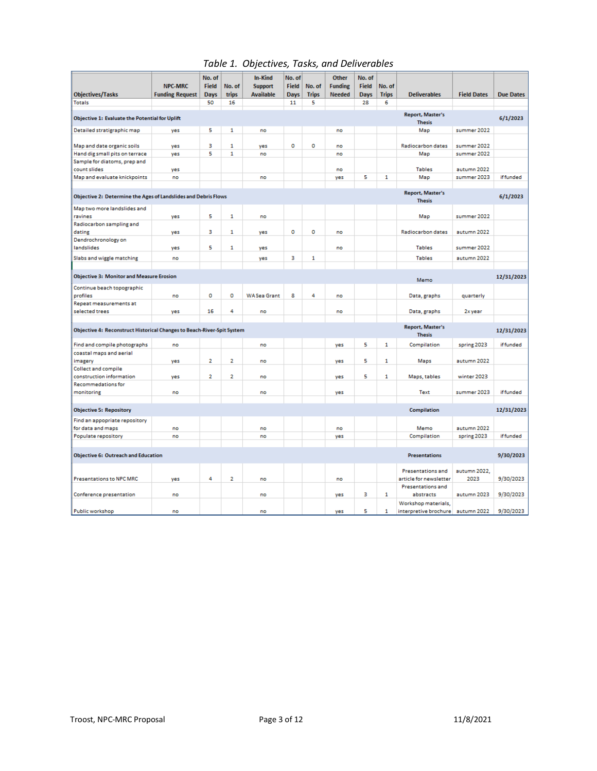#### *Table 1. Objectives, Tasks, and Deliverables*

|                                                                                            | <b>NPC-MRC</b>         | No. of<br><b>Field</b> | No. of         | <b>In-Kind</b><br><b>Support</b> | No. of<br><b>Field</b> | No. of       | <b>Other</b><br><b>Funding</b> | No. of<br><b>Field</b> | No. of       |                                   |                    |                  |
|--------------------------------------------------------------------------------------------|------------------------|------------------------|----------------|----------------------------------|------------------------|--------------|--------------------------------|------------------------|--------------|-----------------------------------|--------------------|------------------|
| <b>Objectives/Tasks</b>                                                                    | <b>Funding Request</b> | <b>Days</b>            | <b>trips</b>   | <b>Available</b>                 | <b>Days</b>            | <b>Trips</b> | <b>Needed</b>                  | <b>Days</b>            | <b>Trips</b> | <b>Deliverables</b>               | <b>Field Dates</b> | <b>Due Dates</b> |
| <b>Totals</b>                                                                              |                        | 50                     | 16             |                                  | 11                     | 5            |                                | 28                     | 6            |                                   |                    |                  |
| <b>Report, Master's</b><br>Objective 1: Evaluate the Potential for Uplift<br><b>Thesis</b> |                        |                        |                |                                  |                        |              |                                |                        |              | 6/1/2023                          |                    |                  |
| Detailed stratigraphic map                                                                 | yes                    | 5                      | 1              | no                               |                        |              | no                             |                        |              | Map                               | summer 2022        |                  |
|                                                                                            |                        |                        |                |                                  |                        |              |                                |                        |              |                                   |                    |                  |
| Map and date organic soils                                                                 | yes                    | в                      | $\mathbf{1}$   | yes                              | o                      | $\Omega$     | no                             |                        |              | <b>Radiocarbon dates</b>          | summer 2022        |                  |
| Hand dig small pits on terrace                                                             | yes                    | 5                      | $\mathbf{1}$   | no                               |                        |              | no                             |                        |              | Map                               | summer 2022        |                  |
| Sample for diatoms, prep and                                                               |                        |                        |                |                                  |                        |              |                                |                        |              |                                   |                    |                  |
| count slides                                                                               | yes                    |                        |                |                                  |                        |              | no                             |                        |              | <b>Tables</b>                     | autumn 2022        |                  |
| Map and evaluate knickpoints                                                               | no                     |                        |                | no                               |                        |              | yes                            | 5                      | $\mathbf{1}$ | Map                               | summer 2023        | <b>iffunded</b>  |
|                                                                                            |                        |                        |                |                                  |                        |              |                                |                        |              |                                   |                    |                  |
| Objective 2: Determine the Ages of Landslides and Debris Flows                             |                        |                        |                |                                  |                        |              |                                |                        |              | Report, Master's<br><b>Thesis</b> |                    | 6/1/2023         |
| Map two more landslides and                                                                |                        |                        |                |                                  |                        |              |                                |                        |              |                                   |                    |                  |
| ravines                                                                                    | yes                    | 5                      | 1              | no                               |                        |              |                                |                        |              | Map                               | summer 2022        |                  |
| Radiocarbon sampling and                                                                   |                        |                        |                |                                  |                        |              |                                |                        |              |                                   |                    |                  |
| dating                                                                                     | yes                    | з                      | 1              | yes                              | o                      | $\circ$      | no                             |                        |              | <b>Radiocarbon dates</b>          | autumn 2022        |                  |
| Dendrochronology on                                                                        |                        |                        |                |                                  |                        |              |                                |                        |              |                                   |                    |                  |
| landslides                                                                                 | yes                    | 5                      | 1              | yes                              |                        |              | no                             |                        |              | <b>Tables</b>                     | summer 2022        |                  |
| Slabs and wiggle matching                                                                  | no                     |                        |                | yes                              | з                      | $\mathbf{1}$ |                                |                        |              | <b>Tables</b>                     | autumn 2022        |                  |
|                                                                                            |                        |                        |                |                                  |                        |              |                                |                        |              |                                   |                    |                  |
| <b>Objective 3: Monitor and Measure Erosion</b>                                            |                        |                        |                |                                  |                        |              |                                |                        |              | Memo                              |                    | 12/31/2023       |
| Continue beach topographic                                                                 |                        |                        |                |                                  |                        |              |                                |                        |              |                                   |                    |                  |
| profiles                                                                                   | no                     | o                      | o              | <b>WASea Grant</b>               | 8                      | 4            | no                             |                        |              | Data, graphs                      | quarterly          |                  |
| Repeat measurements at                                                                     |                        |                        | 4              |                                  |                        |              |                                |                        |              |                                   |                    |                  |
| selected trees                                                                             | yes                    | 16                     |                | no                               |                        |              | no                             |                        |              | Data, graphs                      | 2x year            |                  |
|                                                                                            |                        |                        |                |                                  |                        |              |                                |                        |              | Report, Master's                  |                    |                  |
| Objective 4: Reconstruct Historical Changes to Beach-River-Spit System                     |                        |                        |                |                                  |                        |              |                                |                        |              | <b>Thesis</b>                     |                    | 12/31/2023       |
| Find and compile photographs                                                               | no                     |                        |                | no                               |                        |              | yes                            | 5                      | 1            | Compilation                       | spring 2023        | if funded        |
| coastal maps and aerial                                                                    |                        |                        |                |                                  |                        |              |                                |                        |              |                                   |                    |                  |
| imagery                                                                                    | yes                    | $\overline{2}$         | $\overline{2}$ | no                               |                        |              | ves                            | 5                      | $\mathbf{1}$ | Maps                              | autumn 2022        |                  |
| <b>Collect and compile</b>                                                                 |                        |                        |                |                                  |                        |              |                                |                        |              |                                   |                    |                  |
| construction information                                                                   | yes                    | $\overline{2}$         | $\overline{2}$ | no                               |                        |              | yes                            | 5                      | 1            | Maps, tables                      | winter 2023        |                  |
| <b>Recommedations for</b>                                                                  |                        |                        |                |                                  |                        |              |                                |                        |              |                                   |                    |                  |
| monitoring                                                                                 | no                     |                        |                | no                               |                        |              | yes                            |                        |              | <b>Text</b>                       | summer 2023        | if funded        |
| <b>Objective 5: Repository</b>                                                             |                        |                        |                |                                  |                        |              |                                |                        |              | Compilation                       |                    | 12/31/2023       |
|                                                                                            |                        |                        |                |                                  |                        |              |                                |                        |              |                                   |                    |                  |
| Find an appopriate repository                                                              | no                     |                        |                | no                               |                        |              | no                             |                        |              | Memo                              | autumn 2022        |                  |
| for data and maps                                                                          |                        |                        |                |                                  |                        |              |                                |                        |              |                                   |                    |                  |
| Populate repository                                                                        | no                     |                        |                | no                               |                        |              | yes                            |                        |              | Compilation                       | spring 2023        | <b>iffunded</b>  |
|                                                                                            |                        |                        |                |                                  |                        |              |                                |                        |              |                                   |                    |                  |
| <b>Presentations</b><br><b>Objective 6: Outreach and Education</b>                         |                        |                        |                |                                  |                        |              |                                |                        |              | 9/30/2023                         |                    |                  |
|                                                                                            |                        |                        |                |                                  |                        |              |                                |                        |              | Presentations and                 | autumn 2022,       |                  |
| <b>Presentations to NPC MRC</b>                                                            | ves                    | 4                      | $\overline{2}$ | no                               |                        |              | no                             |                        |              | article for newsletter            | 2023               | 9/30/2023        |
|                                                                                            |                        |                        |                |                                  |                        |              |                                |                        |              | Presentations and                 |                    |                  |
| Conference presentation                                                                    | no                     |                        |                | no                               |                        |              | yes                            | з                      | 1            | abstracts                         | autumn 2023        | 9/30/2023        |
|                                                                                            |                        |                        |                |                                  |                        |              |                                |                        |              | Workshop materials,               |                    |                  |
| Public workshop                                                                            | no                     |                        |                | no                               |                        |              | yes                            | 5                      | 1            | interpretive brochure             | autumn 2022        | 9/30/2023        |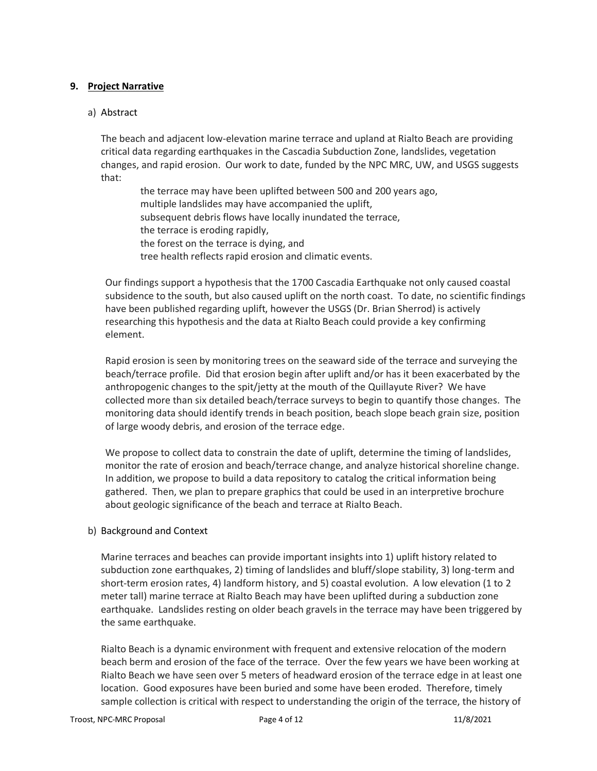#### **9. Project Narrative**

#### a) Abstract

The beach and adjacent low-elevation marine terrace and upland at Rialto Beach are providing critical data regarding earthquakes in the Cascadia Subduction Zone, landslides, vegetation changes, and rapid erosion. Our work to date, funded by the NPC MRC, UW, and USGS suggests that:

the terrace may have been uplifted between 500 and 200 years ago, multiple landslides may have accompanied the uplift, subsequent debris flows have locally inundated the terrace, the terrace is eroding rapidly, the forest on the terrace is dying, and tree health reflects rapid erosion and climatic events.

Our findings support a hypothesis that the 1700 Cascadia Earthquake not only caused coastal subsidence to the south, but also caused uplift on the north coast. To date, no scientific findings have been published regarding uplift, however the USGS (Dr. Brian Sherrod) is actively researching this hypothesis and the data at Rialto Beach could provide a key confirming element.

Rapid erosion is seen by monitoring trees on the seaward side of the terrace and surveying the beach/terrace profile. Did that erosion begin after uplift and/or has it been exacerbated by the anthropogenic changes to the spit/jetty at the mouth of the Quillayute River? We have collected more than six detailed beach/terrace surveys to begin to quantify those changes. The monitoring data should identify trends in beach position, beach slope beach grain size, position of large woody debris, and erosion of the terrace edge.

We propose to collect data to constrain the date of uplift, determine the timing of landslides, monitor the rate of erosion and beach/terrace change, and analyze historical shoreline change. In addition, we propose to build a data repository to catalog the critical information being gathered. Then, we plan to prepare graphics that could be used in an interpretive brochure about geologic significance of the beach and terrace at Rialto Beach.

#### b) Background and Context

Marine terraces and beaches can provide important insights into 1) uplift history related to subduction zone earthquakes, 2) timing of landslides and bluff/slope stability, 3) long-term and short-term erosion rates, 4) landform history, and 5) coastal evolution. A low elevation (1 to 2 meter tall) marine terrace at Rialto Beach may have been uplifted during a subduction zone earthquake. Landslides resting on older beach gravels in the terrace may have been triggered by the same earthquake.

Rialto Beach is a dynamic environment with frequent and extensive relocation of the modern beach berm and erosion of the face of the terrace. Over the few years we have been working at Rialto Beach we have seen over 5 meters of headward erosion of the terrace edge in at least one location. Good exposures have been buried and some have been eroded. Therefore, timely sample collection is critical with respect to understanding the origin of the terrace, the history of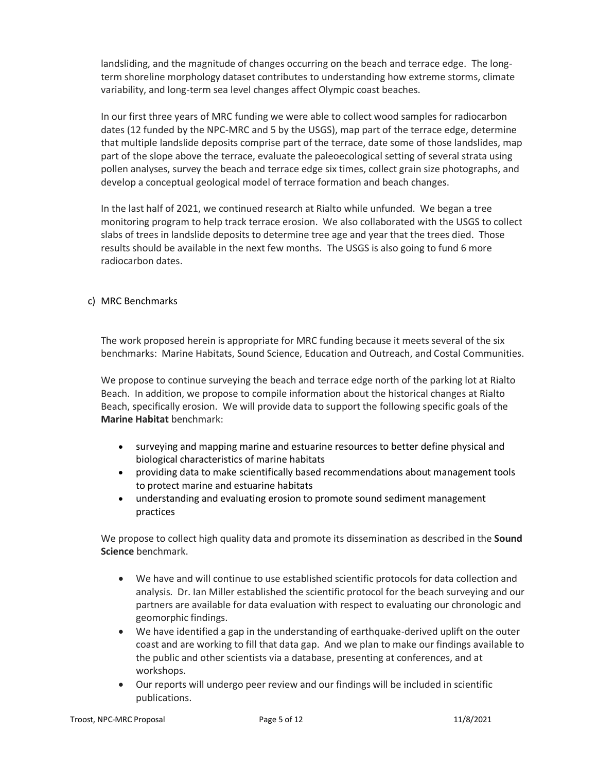landsliding, and the magnitude of changes occurring on the beach and terrace edge. The longterm shoreline morphology dataset contributes to understanding how extreme storms, climate variability, and long-term sea level changes affect Olympic coast beaches.

In our first three years of MRC funding we were able to collect wood samples for radiocarbon dates (12 funded by the NPC-MRC and 5 by the USGS), map part of the terrace edge, determine that multiple landslide deposits comprise part of the terrace, date some of those landslides, map part of the slope above the terrace, evaluate the paleoecological setting of several strata using pollen analyses, survey the beach and terrace edge six times, collect grain size photographs, and develop a conceptual geological model of terrace formation and beach changes.

In the last half of 2021, we continued research at Rialto while unfunded. We began a tree monitoring program to help track terrace erosion. We also collaborated with the USGS to collect slabs of trees in landslide deposits to determine tree age and year that the trees died. Those results should be available in the next few months. The USGS is also going to fund 6 more radiocarbon dates.

#### c) MRC Benchmarks

The work proposed herein is appropriate for MRC funding because it meets several of the six benchmarks: Marine Habitats, Sound Science, Education and Outreach, and Costal Communities.

We propose to continue surveying the beach and terrace edge north of the parking lot at Rialto Beach. In addition, we propose to compile information about the historical changes at Rialto Beach, specifically erosion. We will provide data to support the following specific goals of the **Marine Habitat** benchmark:

- surveying and mapping marine and estuarine resources to better define physical and biological characteristics of marine habitats
- providing data to make scientifically based recommendations about management tools to protect marine and estuarine habitats
- understanding and evaluating erosion to promote sound sediment management practices

We propose to collect high quality data and promote its dissemination as described in the **Sound Science** benchmark.

- We have and will continue to use established scientific protocols for data collection and analysis. Dr. Ian Miller established the scientific protocol for the beach surveying and our partners are available for data evaluation with respect to evaluating our chronologic and geomorphic findings.
- We have identified a gap in the understanding of earthquake-derived uplift on the outer coast and are working to fill that data gap. And we plan to make our findings available to the public and other scientists via a database, presenting at conferences, and at workshops.
- Our reports will undergo peer review and our findings will be included in scientific publications.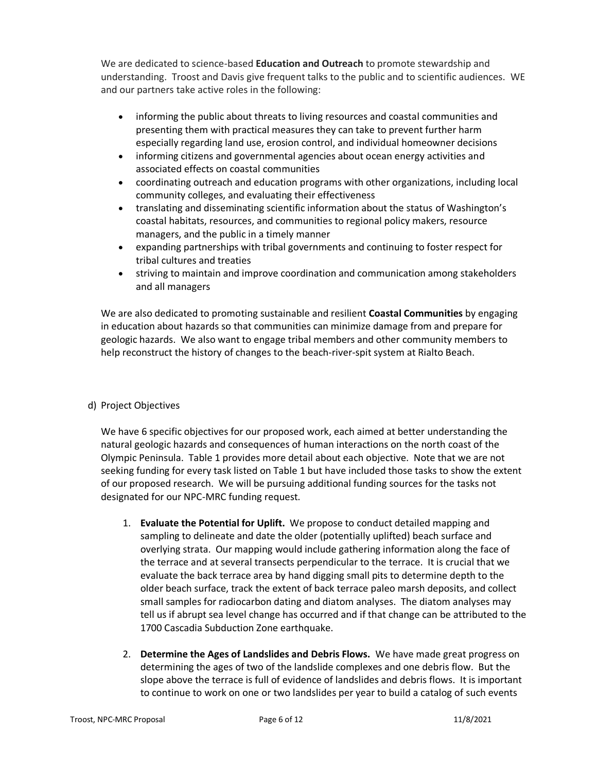We are dedicated to science-based **Education and Outreach** to promote stewardship and understanding. Troost and Davis give frequent talks to the public and to scientific audiences. WE and our partners take active roles in the following:

- informing the public about threats to living resources and coastal communities and presenting them with practical measures they can take to prevent further harm especially regarding land use, erosion control, and individual homeowner decisions
- informing citizens and governmental agencies about ocean energy activities and associated effects on coastal communities
- coordinating outreach and education programs with other organizations, including local community colleges, and evaluating their effectiveness
- translating and disseminating scientific information about the status of Washington's coastal habitats, resources, and communities to regional policy makers, resource managers, and the public in a timely manner
- expanding partnerships with tribal governments and continuing to foster respect for tribal cultures and treaties
- striving to maintain and improve coordination and communication among stakeholders and all managers

We are also dedicated to promoting sustainable and resilient **Coastal Communities** by engaging in education about hazards so that communities can minimize damage from and prepare for geologic hazards. We also want to engage tribal members and other community members to help reconstruct the history of changes to the beach-river-spit system at Rialto Beach.

#### d) Project Objectives

We have 6 specific objectives for our proposed work, each aimed at better understanding the natural geologic hazards and consequences of human interactions on the north coast of the Olympic Peninsula. Table 1 provides more detail about each objective. Note that we are not seeking funding for every task listed on Table 1 but have included those tasks to show the extent of our proposed research. We will be pursuing additional funding sources for the tasks not designated for our NPC-MRC funding request.

- 1. **Evaluate the Potential for Uplift.** We propose to conduct detailed mapping and sampling to delineate and date the older (potentially uplifted) beach surface and overlying strata. Our mapping would include gathering information along the face of the terrace and at several transects perpendicular to the terrace. It is crucial that we evaluate the back terrace area by hand digging small pits to determine depth to the older beach surface, track the extent of back terrace paleo marsh deposits, and collect small samples for radiocarbon dating and diatom analyses. The diatom analyses may tell us if abrupt sea level change has occurred and if that change can be attributed to the 1700 Cascadia Subduction Zone earthquake.
- 2. **Determine the Ages of Landslides and Debris Flows.** We have made great progress on determining the ages of two of the landslide complexes and one debris flow. But the slope above the terrace is full of evidence of landslides and debris flows. It is important to continue to work on one or two landslides per year to build a catalog of such events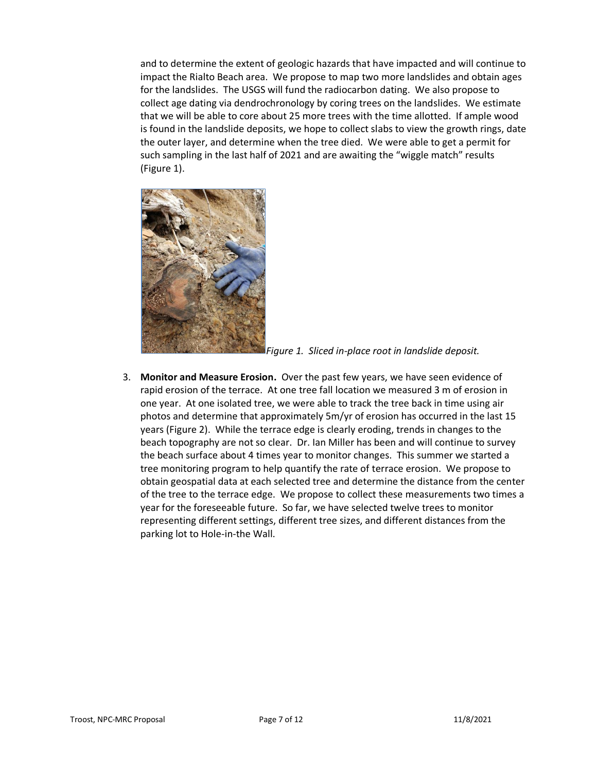and to determine the extent of geologic hazards that have impacted and will continue to impact the Rialto Beach area. We propose to map two more landslides and obtain ages for the landslides. The USGS will fund the radiocarbon dating. We also propose to collect age dating via dendrochronology by coring trees on the landslides. We estimate that we will be able to core about 25 more trees with the time allotted. If ample wood is found in the landslide deposits, we hope to collect slabs to view the growth rings, date the outer layer, and determine when the tree died. We were able to get a permit for such sampling in the last half of 2021 and are awaiting the "wiggle match" results (Figure 1).



*Figure 1. Sliced in-place root in landslide deposit.*

3. **Monitor and Measure Erosion.** Over the past few years, we have seen evidence of rapid erosion of the terrace. At one tree fall location we measured 3 m of erosion in one year. At one isolated tree, we were able to track the tree back in time using air photos and determine that approximately 5m/yr of erosion has occurred in the last 15 years (Figure 2). While the terrace edge is clearly eroding, trends in changes to the beach topography are not so clear. Dr. Ian Miller has been and will continue to survey the beach surface about 4 times year to monitor changes. This summer we started a tree monitoring program to help quantify the rate of terrace erosion. We propose to obtain geospatial data at each selected tree and determine the distance from the center of the tree to the terrace edge. We propose to collect these measurements two times a year for the foreseeable future. So far, we have selected twelve trees to monitor representing different settings, different tree sizes, and different distances from the parking lot to Hole-in-the Wall.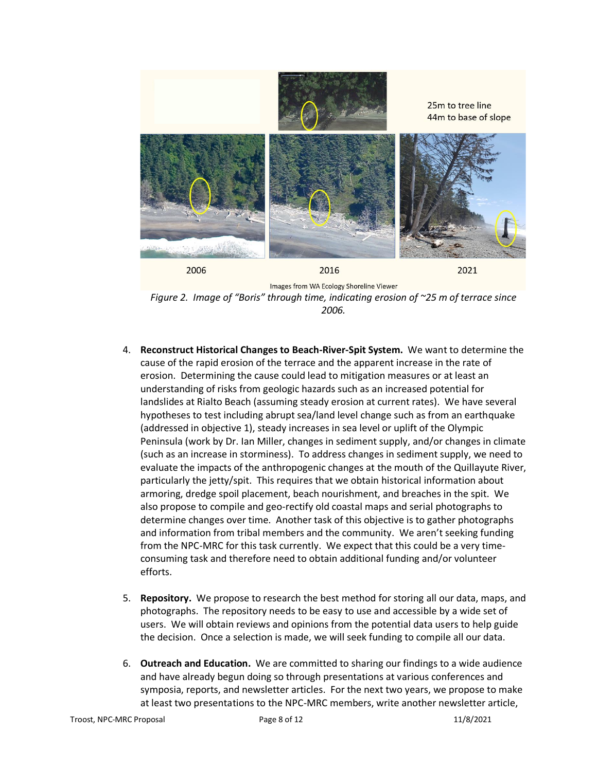

*Figure 2. Image of "Boris" through time, indicating erosion of ~25 m of terrace since 2006.*

- 4. **Reconstruct Historical Changes to Beach-River-Spit System.** We want to determine the cause of the rapid erosion of the terrace and the apparent increase in the rate of erosion. Determining the cause could lead to mitigation measures or at least an understanding of risks from geologic hazards such as an increased potential for landslides at Rialto Beach (assuming steady erosion at current rates). We have several hypotheses to test including abrupt sea/land level change such as from an earthquake (addressed in objective 1), steady increases in sea level or uplift of the Olympic Peninsula (work by Dr. Ian Miller, changes in sediment supply, and/or changes in climate (such as an increase in storminess). To address changes in sediment supply, we need to evaluate the impacts of the anthropogenic changes at the mouth of the Quillayute River, particularly the jetty/spit. This requires that we obtain historical information about armoring, dredge spoil placement, beach nourishment, and breaches in the spit. We also propose to compile and geo-rectify old coastal maps and serial photographs to determine changes over time. Another task of this objective is to gather photographs and information from tribal members and the community. We aren't seeking funding from the NPC-MRC for this task currently. We expect that this could be a very timeconsuming task and therefore need to obtain additional funding and/or volunteer efforts.
- 5. **Repository.** We propose to research the best method for storing all our data, maps, and photographs. The repository needs to be easy to use and accessible by a wide set of users. We will obtain reviews and opinions from the potential data users to help guide the decision. Once a selection is made, we will seek funding to compile all our data.
- 6. **Outreach and Education.** We are committed to sharing our findings to a wide audience and have already begun doing so through presentations at various conferences and symposia, reports, and newsletter articles. For the next two years, we propose to make at least two presentations to the NPC-MRC members, write another newsletter article,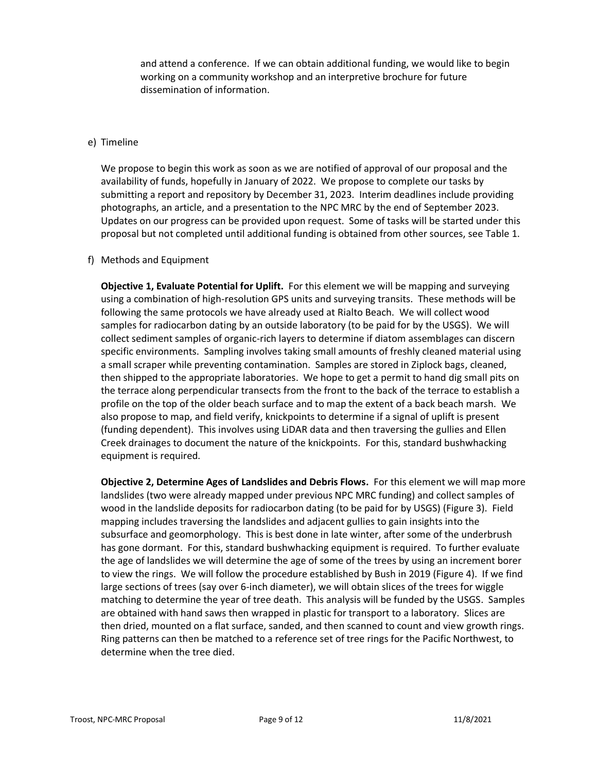and attend a conference. If we can obtain additional funding, we would like to begin working on a community workshop and an interpretive brochure for future dissemination of information.

#### e) Timeline

We propose to begin this work as soon as we are notified of approval of our proposal and the availability of funds, hopefully in January of 2022. We propose to complete our tasks by submitting a report and repository by December 31, 2023. Interim deadlines include providing photographs, an article, and a presentation to the NPC MRC by the end of September 2023. Updates on our progress can be provided upon request. Some of tasks will be started under this proposal but not completed until additional funding is obtained from other sources, see Table 1.

#### f) Methods and Equipment

**Objective 1, Evaluate Potential for Uplift.** For this element we will be mapping and surveying using a combination of high-resolution GPS units and surveying transits. These methods will be following the same protocols we have already used at Rialto Beach. We will collect wood samples for radiocarbon dating by an outside laboratory (to be paid for by the USGS). We will collect sediment samples of organic-rich layers to determine if diatom assemblages can discern specific environments. Sampling involves taking small amounts of freshly cleaned material using a small scraper while preventing contamination. Samples are stored in Ziplock bags, cleaned, then shipped to the appropriate laboratories. We hope to get a permit to hand dig small pits on the terrace along perpendicular transects from the front to the back of the terrace to establish a profile on the top of the older beach surface and to map the extent of a back beach marsh. We also propose to map, and field verify, knickpoints to determine if a signal of uplift is present (funding dependent). This involves using LiDAR data and then traversing the gullies and Ellen Creek drainages to document the nature of the knickpoints. For this, standard bushwhacking equipment is required.

**Objective 2, Determine Ages of Landslides and Debris Flows.** For this element we will map more landslides (two were already mapped under previous NPC MRC funding) and collect samples of wood in the landslide deposits for radiocarbon dating (to be paid for by USGS) (Figure 3). Field mapping includes traversing the landslides and adjacent gullies to gain insights into the subsurface and geomorphology. This is best done in late winter, after some of the underbrush has gone dormant. For this, standard bushwhacking equipment is required. To further evaluate the age of landslides we will determine the age of some of the trees by using an increment borer to view the rings. We will follow the procedure established by Bush in 2019 (Figure 4). If we find large sections of trees (say over 6-inch diameter), we will obtain slices of the trees for wiggle matching to determine the year of tree death. This analysis will be funded by the USGS. Samples are obtained with hand saws then wrapped in plastic for transport to a laboratory. Slices are then dried, mounted on a flat surface, sanded, and then scanned to count and view growth rings. Ring patterns can then be matched to a reference set of tree rings for the Pacific Northwest, to determine when the tree died.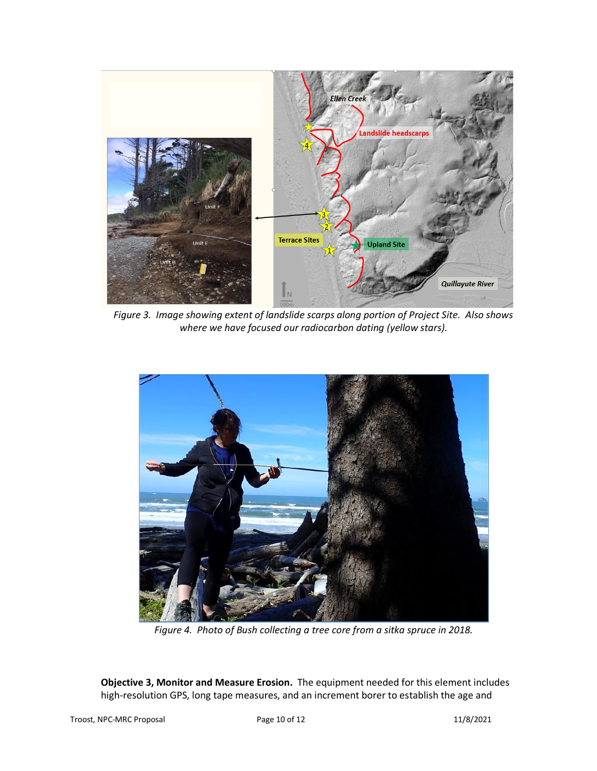![](_page_9_Figure_0.jpeg)

*Figure 3. Image showing extent of landslide scarps along portion of Project Site. Also shows where we have focused our radiocarbon dating (yellow stars).*

![](_page_9_Picture_2.jpeg)

*Figure 4. Photo of Bush collecting a tree core from a sitka spruce in 2018.*

**Objective 3, Monitor and Measure Erosion.** The equipment needed for this element includes high-resolution GPS, long tape measures, and an increment borer to establish the age and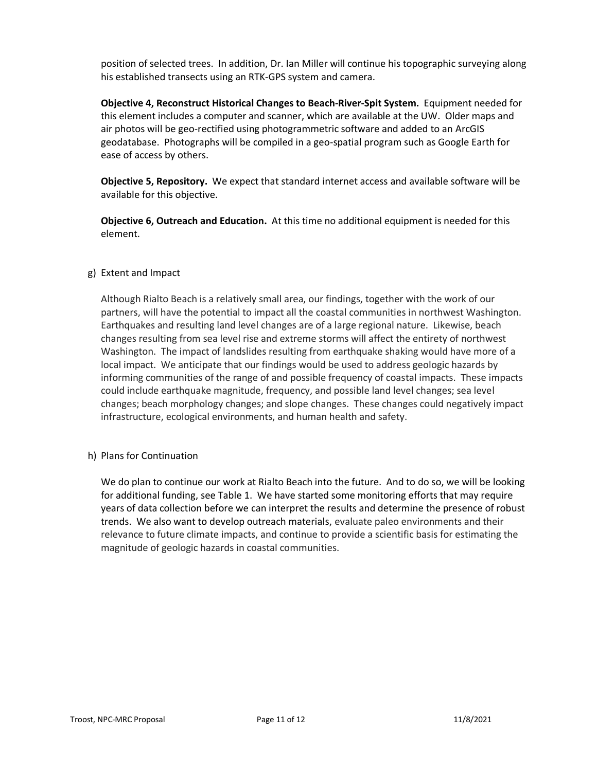position of selected trees. In addition, Dr. Ian Miller will continue his topographic surveying along his established transects using an RTK-GPS system and camera.

**Objective 4, Reconstruct Historical Changes to Beach-River-Spit System.** Equipment needed for this element includes a computer and scanner, which are available at the UW. Older maps and air photos will be geo-rectified using photogrammetric software and added to an ArcGIS geodatabase. Photographs will be compiled in a geo-spatial program such as Google Earth for ease of access by others.

**Objective 5, Repository.** We expect that standard internet access and available software will be available for this objective.

**Objective 6, Outreach and Education.** At this time no additional equipment is needed for this element.

#### g) Extent and Impact

Although Rialto Beach is a relatively small area, our findings, together with the work of our partners, will have the potential to impact all the coastal communities in northwest Washington. Earthquakes and resulting land level changes are of a large regional nature. Likewise, beach changes resulting from sea level rise and extreme storms will affect the entirety of northwest Washington. The impact of landslides resulting from earthquake shaking would have more of a local impact. We anticipate that our findings would be used to address geologic hazards by informing communities of the range of and possible frequency of coastal impacts. These impacts could include earthquake magnitude, frequency, and possible land level changes; sea level changes; beach morphology changes; and slope changes. These changes could negatively impact infrastructure, ecological environments, and human health and safety.

h) Plans for Continuation

We do plan to continue our work at Rialto Beach into the future. And to do so, we will be looking for additional funding, see Table 1. We have started some monitoring efforts that may require years of data collection before we can interpret the results and determine the presence of robust trends. We also want to develop outreach materials, evaluate paleo environments and their relevance to future climate impacts, and continue to provide a scientific basis for estimating the magnitude of geologic hazards in coastal communities.